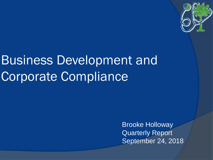

# Business Development and Corporate Compliance

Brooke Holloway Quarterly Report September 24, 2018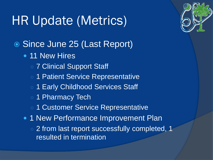# HR Update (Metrics)

- Since June 25 (Last Report)
	- 11 New Hires
		- o 7 Clinical Support Staff
		- 1 Patient Service Representative
		- o 1 Early Childhood Services Staff
		- 1 Pharmacy Tech
		- 1 Customer Service Representative
	- 1 New Performance Improvement Plan
		- 2 from last report successfully completed, 1 resulted in termination

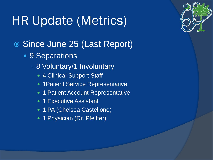# HR Update (Metrics)

- Since June 25 (Last Report)
	- 9 Separations
		- 8 Voluntary/1 Involuntary
			- 4 Clinical Support Staff
			- 1 Patient Service Representative
			- 1 Patient Account Representative
			- 1 Executive Assistant
			- 1 PA (Chelsea Castellone)
			- 1 Physician (Dr. Pfeiffer)

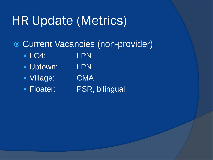## HR Update (Metrics)

Current Vacancies (non-provider)

- LC4: LPN
- Uptown: LPN
- Village: CMA
- 

**• Floater:** PSR, bilingual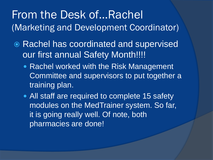### From the Desk of…Rachel (Marketing and Development Coordinator)

- Rachel has coordinated and supervised our first annual Safety Month!!!!
	- Rachel worked with the Risk Management Committee and supervisors to put together a training plan.
	- All staff are required to complete 15 safety modules on the MedTrainer system. So far, it is going really well. Of note, both pharmacies are done!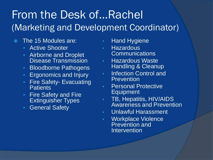### From the Desk of…Rachel (Marketing and Development Coordinator)

- The 15 Modules are:
	- Active Shooter
	- Airborne and Droplet Disease Transmission
	- Bloodborne Pathogens
	- Ergonomics and Injury
	- Fire Safety- Evacuating **Patients**
	- Fire Safety and Fire Extinguisher Types
	- General Safety
- **Hand Hygiene**
- Hazardous Communications
- Hazardous Waste Handling & Cleanup
- Infection Control and **Prevention**
- Personal Protective Equipment
- TB, Hepatitis, HIV/AIDS Awareness and Prevention
- Unlawful Harassment
- Workplace Violence Prevention and **Intervention**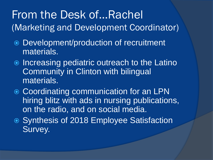### From the Desk of…Rachel (Marketing and Development Coordinator)

- Development/production of recruitment materials.
- $\circ$  **Increasing pediatric outreach to the Latino** Community in Clinton with bilingual materials.
- **Coordinating communication for an LPN** hiring blitz with ads in nursing publications, on the radio, and on social media.
- Synthesis of 2018 Employee Satisfaction Survey.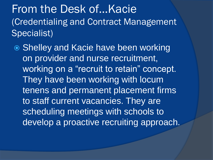From the Desk of…Kacie (Credentialing and Contract Management Specialist)

● Shelley and Kacie have been working on provider and nurse recruitment, working on a "recruit to retain" concept. They have been working with locum tenens and permanent placement firms to staff current vacancies. They are scheduling meetings with schools to develop a proactive recruiting approach.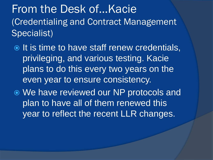From the Desk of…Kacie (Credentialing and Contract Management Specialist)

In It is time to have staff renew credentials, privileging, and various testing. Kacie plans to do this every two years on the even year to ensure consistency.

 We have reviewed our NP protocols and plan to have all of them renewed this year to reflect the recent LLR changes.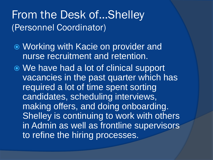#### From the Desk of…Shelley (Personnel Coordinator)

- Working with Kacie on provider and nurse recruitment and retention.
- We have had a lot of clinical support vacancies in the past quarter which has required a lot of time spent sorting candidates, scheduling interviews, making offers, and doing onboarding. Shelley is continuing to work with others in Admin as well as frontline supervisors to refine the hiring processes.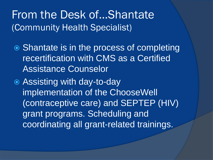### From the Desk of…Shantate (Community Health Specialist)

- **■** Shantate is in the process of completing recertification with CMS as a Certified Assistance Counselor
- Assisting with day-to-day implementation of the ChooseWell (contraceptive care) and SEPTEP (HIV) grant programs. Scheduling and coordinating all grant-related trainings.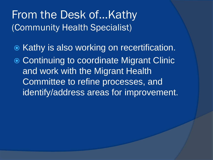### From the Desk of…Kathy (Community Health Specialist)

- $\odot$  Kathy is also working on recertification.
- **Continuing to coordinate Migrant Clinic** and work with the Migrant Health Committee to refine processes, and identify/address areas for improvement.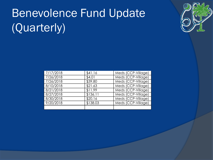# Benevolence Fund Update (Quarterly)



| 7/17/2018 | \$41.16  | Meds (CCP-Village) |
|-----------|----------|--------------------|
| 7/26/2018 | \$4.01   | Meds (CCP-Village) |
| 7/26/2018 | \$39.80  | Meds (CCP-Village) |
| 8/10/2018 | \$21.63  | Meds (CCP-Village) |
| 8/21/2018 | \$11.99  | Meds (CCP-Village) |
| 8/27/2018 | \$136.11 | Meds (CCP-Village) |
| 8/30/2018 | \$20.16  | Meds (CCP-Village) |
| 9/20/2018 | \$138.03 | Meds (CCP-Village) |
|           |          |                    |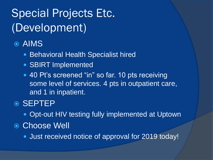## Special Projects Etc. (Development)

#### AIMS

- Behavioral Health Specialist hired
- SBIRT Implemented
- 40 Pt's screened "in" so far. 10 pts receiving some level of services. 4 pts in outpatient care, and 1 in inpatient.

#### ◎ SEPTEP

- Opt-out HIV testing fully implemented at Uptown
- Choose Well
	- **Just received notice of approval for 2019 today!**